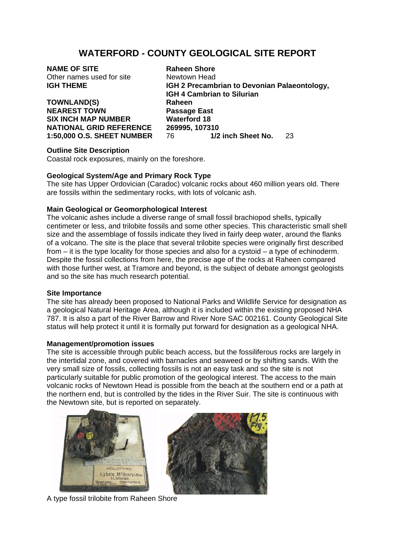# **WATERFORD - COUNTY GEOLOGICAL SITE REPORT**

**NAME OF SITE Raheen Shore** Other names used for site Newtown Head

**TOWNLAND(S) Raheen NEAREST TOWN Passage East SIX INCH MAP NUMBER Waterford 18 NATIONAL GRID REFERENCE 269995, 107310** 

**IGH THEME IGH 2 Precambrian to Devonian Palaeontology, IGH 4 Cambrian to Silurian 1:50,000 O.S. SHEET NUMBER** 76 **1/2 inch Sheet No.** 23

## **Outline Site Description**

Coastal rock exposures, mainly on the foreshore.

## **Geological System/Age and Primary Rock Type**

The site has Upper Ordovician (Caradoc) volcanic rocks about 460 million years old. There are fossils within the sedimentary rocks, with lots of volcanic ash.

## **Main Geological or Geomorphological Interest**

The volcanic ashes include a diverse range of small fossil brachiopod shells, typically centimeter or less, and trilobite fossils and some other species. This characteristic small shell size and the assemblage of fossils indicate they lived in fairly deep water, around the flanks of a volcano. The site is the place that several trilobite species were originally first described from – it is the type locality for those species and also for a cystoid – a type of echinoderm. Despite the fossil collections from here, the precise age of the rocks at Raheen compared with those further west, at Tramore and beyond, is the subject of debate amongst geologists and so the site has much research potential.

## **Site Importance**

The site has already been proposed to National Parks and Wildlife Service for designation as a geological Natural Heritage Area, although it is included within the existing proposed NHA 787. It is also a part of the River Barrow and River Nore SAC 002161. County Geological Site status will help protect it until it is formally put forward for designation as a geological NHA.

## **Management/promotion issues**

The site is accessible through public beach access, but the fossiliferous rocks are largely in the intertidal zone, and covered with barnacles and seaweed or by shifting sands. With the very small size of fossils, collecting fossils is not an easy task and so the site is not particularly suitable for public promotion of the geological interest. The access to the main volcanic rocks of Newtown Head is possible from the beach at the southern end or a path at the northern end, but is controlled by the tides in the River Suir. The site is continuous with the Newtown site, but is reported on separately.





A type fossil trilobite from Raheen Shore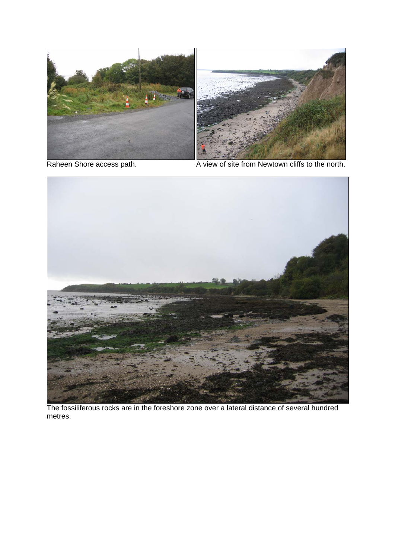



Raheen Shore access path. A view of site from Newtown cliffs to the north.



The fossiliferous rocks are in the foreshore zone over a lateral distance of several hundred metres.